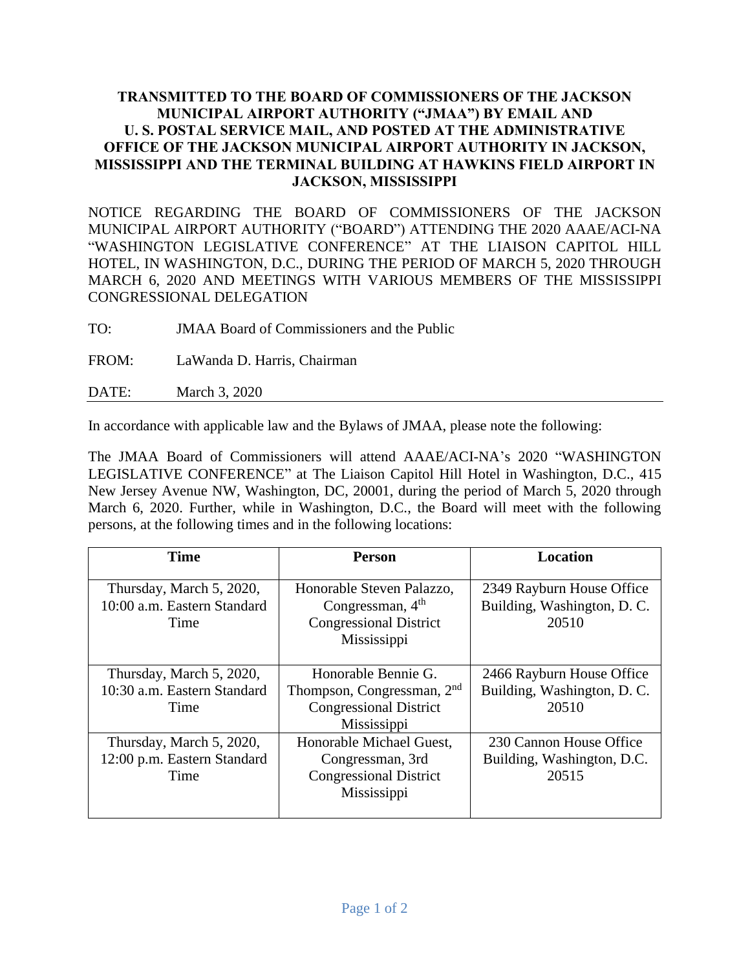## **TRANSMITTED TO THE BOARD OF COMMISSIONERS OF THE JACKSON MUNICIPAL AIRPORT AUTHORITY ("JMAA") BY EMAIL AND U. S. POSTAL SERVICE MAIL, AND POSTED AT THE ADMINISTRATIVE OFFICE OF THE JACKSON MUNICIPAL AIRPORT AUTHORITY IN JACKSON, MISSISSIPPI AND THE TERMINAL BUILDING AT HAWKINS FIELD AIRPORT IN JACKSON, MISSISSIPPI**

NOTICE REGARDING THE BOARD OF COMMISSIONERS OF THE JACKSON MUNICIPAL AIRPORT AUTHORITY ("BOARD") ATTENDING THE 2020 AAAE/ACI-NA "WASHINGTON LEGISLATIVE CONFERENCE" AT THE LIAISON CAPITOL HILL HOTEL, IN WASHINGTON, D.C., DURING THE PERIOD OF MARCH 5, 2020 THROUGH MARCH 6, 2020 AND MEETINGS WITH VARIOUS MEMBERS OF THE MISSISSIPPI CONGRESSIONAL DELEGATION

TO: JMAA Board of Commissioners and the Public

FROM: LaWanda D. Harris, Chairman

DATE: March 3, 2020

In accordance with applicable law and the Bylaws of JMAA, please note the following:

The JMAA Board of Commissioners will attend AAAE/ACI-NA's 2020 "WASHINGTON LEGISLATIVE CONFERENCE" at The Liaison Capitol Hill Hotel in Washington, D.C., 415 New Jersey Avenue NW, Washington, DC, 20001, during the period of March 5, 2020 through March 6, 2020. Further, while in Washington, D.C., the Board will meet with the following persons, at the following times and in the following locations:

| <b>Time</b>                                                     | Person                                                                                                        | <b>Location</b>                                                   |
|-----------------------------------------------------------------|---------------------------------------------------------------------------------------------------------------|-------------------------------------------------------------------|
| Thursday, March 5, 2020,<br>10:00 a.m. Eastern Standard<br>Time | Honorable Steven Palazzo,<br>Congressman, $4th$<br><b>Congressional District</b><br>Mississippi               | 2349 Rayburn House Office<br>Building, Washington, D. C.<br>20510 |
| Thursday, March 5, 2020,<br>10:30 a.m. Eastern Standard<br>Time | Honorable Bennie G.<br>Thompson, Congressman, 2 <sup>nd</sup><br><b>Congressional District</b><br>Mississippi | 2466 Rayburn House Office<br>Building, Washington, D. C.<br>20510 |
| Thursday, March 5, 2020,<br>12:00 p.m. Eastern Standard<br>Time | Honorable Michael Guest,<br>Congressman, 3rd<br><b>Congressional District</b><br>Mississippi                  | 230 Cannon House Office<br>Building, Washington, D.C.<br>20515    |